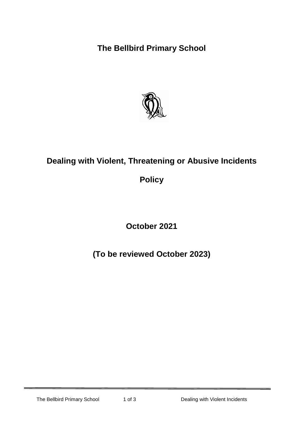**The Bellbird Primary School**



## **Dealing with Violent, Threatening or Abusive Incidents**

**Policy**

**October 2021**

**(To be reviewed October 2023)**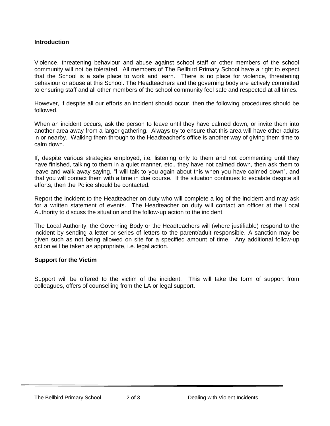## **Introduction**

Violence, threatening behaviour and abuse against school staff or other members of the school community will not be tolerated. All members of The Bellbird Primary School have a right to expect that the School is a safe place to work and learn. There is no place for violence, threatening behaviour or abuse at this School. The Headteachers and the governing body are actively committed to ensuring staff and all other members of the school community feel safe and respected at all times.

However, if despite all our efforts an incident should occur, then the following procedures should be followed.

When an incident occurs, ask the person to leave until they have calmed down, or invite them into another area away from a larger gathering. Always try to ensure that this area will have other adults in or nearby. Walking them through to the Headteacher's office is another way of giving them time to calm down.

If, despite various strategies employed, i.e. listening only to them and not commenting until they have finished, talking to them in a quiet manner, etc., they have not calmed down, then ask them to leave and walk away saying, "I will talk to you again about this when you have calmed down", and that you will contact them with a time in due course. If the situation continues to escalate despite all efforts, then the Police should be contacted.

Report the incident to the Headteacher on duty who will complete a log of the incident and may ask for a written statement of events. The Headteacher on duty will contact an officer at the Local Authority to discuss the situation and the follow-up action to the incident.

The Local Authority, the Governing Body or the Headteachers will (where justifiable) respond to the incident by sending a letter or series of letters to the parent/adult responsible. A sanction may be given such as not being allowed on site for a specified amount of time. Any additional follow-up action will be taken as appropriate, i.e. legal action.

## **Support for the Victim**

Support will be offered to the victim of the incident. This will take the form of support from colleagues, offers of counselling from the LA or legal support.